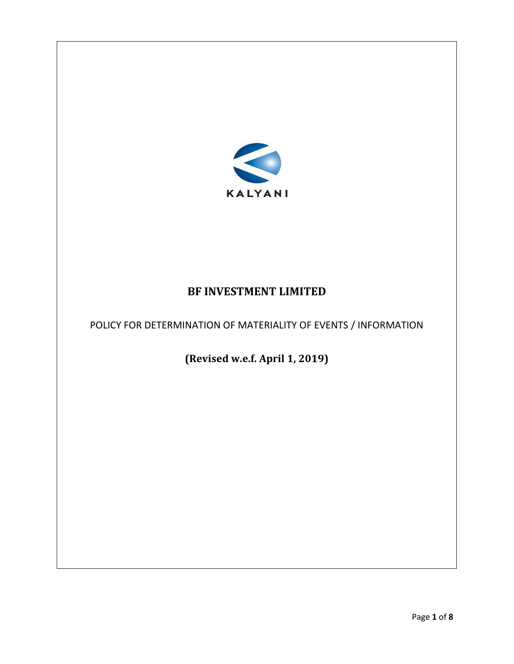

# **BF INVESTMENT LIMITED**

POLICY FOR DETERMINATION OF MATERIALITY OF EVENTS / INFORMATION

**(Revised w.e.f. April 1, 2019)**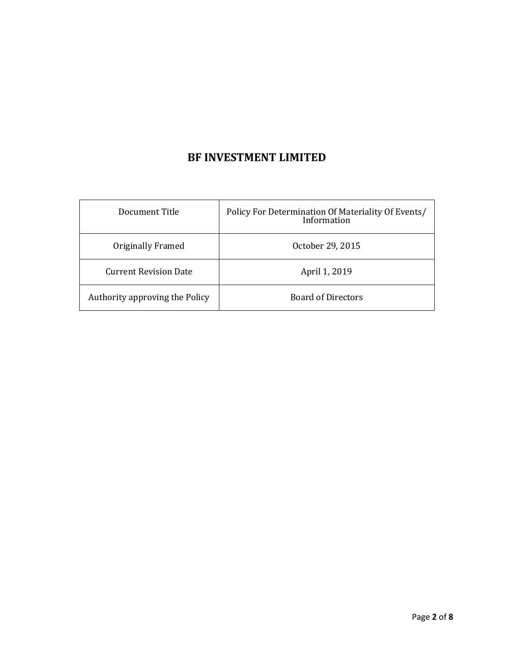# **BF INVESTMENT LIMITED**

| Document Title                 | Policy For Determination Of Materiality Of Events/<br>Information |
|--------------------------------|-------------------------------------------------------------------|
| Originally Framed              | October 29, 2015                                                  |
| <b>Current Revision Date</b>   | April 1, 2019                                                     |
| Authority approving the Policy | <b>Board of Directors</b>                                         |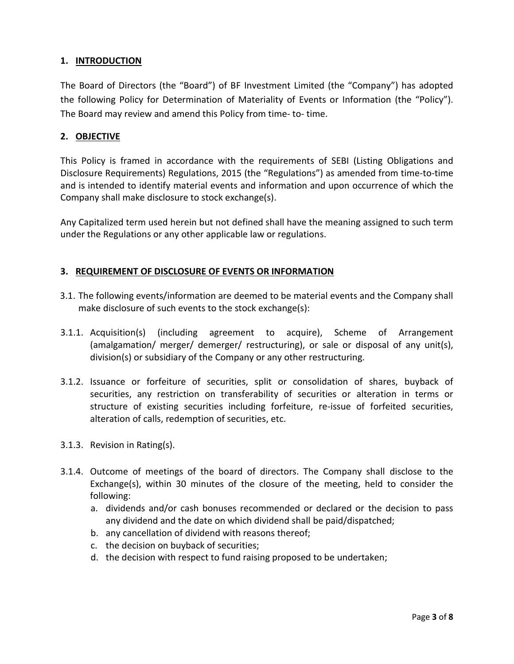### **1. INTRODUCTION**

The Board of Directors (the "Board") of BF Investment Limited (the "Company") has adopted the following Policy for Determination of Materiality of Events or Information (the "Policy"). The Board may review and amend this Policy from time- to- time.

## **2. OBJECTIVE**

This Policy is framed in accordance with the requirements of SEBI (Listing Obligations and Disclosure Requirements) Regulations, 2015 (the "Regulations") as amended from time-to-time and is intended to identify material events and information and upon occurrence of which the Company shall make disclosure to stock exchange(s).

Any Capitalized term used herein but not defined shall have the meaning assigned to such term under the Regulations or any other applicable law or regulations.

# **3. REQUIREMENT OF DISCLOSURE OF EVENTS OR INFORMATION**

- 3.1. The following events/information are deemed to be material events and the Company shall make disclosure of such events to the stock exchange(s):
- 3.1.1. Acquisition(s) (including agreement to acquire), Scheme of Arrangement (amalgamation/ merger/ demerger/ restructuring), or sale or disposal of any unit(s), division(s) or subsidiary of the Company or any other restructuring.
- 3.1.2. Issuance or forfeiture of securities, split or consolidation of shares, buyback of securities, any restriction on transferability of securities or alteration in terms or structure of existing securities including forfeiture, re-issue of forfeited securities, alteration of calls, redemption of securities, etc.
- 3.1.3. Revision in Rating(s).
- 3.1.4. Outcome of meetings of the board of directors. The Company shall disclose to the Exchange(s), within 30 minutes of the closure of the meeting, held to consider the following:
	- a. dividends and/or cash bonuses recommended or declared or the decision to pass any dividend and the date on which dividend shall be paid/dispatched;
	- b. any cancellation of dividend with reasons thereof;
	- c. the decision on buyback of securities;
	- d. the decision with respect to fund raising proposed to be undertaken;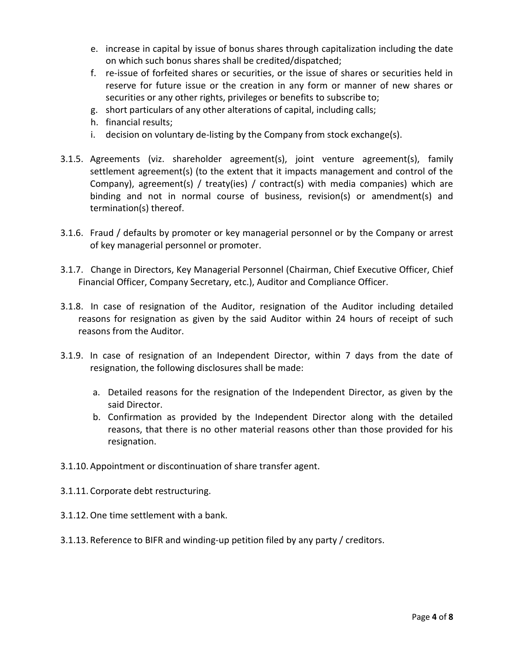- e. increase in capital by issue of bonus shares through capitalization including the date on which such bonus shares shall be credited/dispatched;
- f. re-issue of forfeited shares or securities, or the issue of shares or securities held in reserve for future issue or the creation in any form or manner of new shares or securities or any other rights, privileges or benefits to subscribe to;
- g. short particulars of any other alterations of capital, including calls;
- h. financial results;
- i. decision on voluntary de-listing by the Company from stock exchange(s).
- 3.1.5. Agreements (viz. shareholder agreement(s), joint venture agreement(s), family settlement agreement(s) (to the extent that it impacts management and control of the Company), agreement(s) / treaty(ies) / contract(s) with media companies) which are binding and not in normal course of business, revision(s) or amendment(s) and termination(s) thereof.
- 3.1.6. Fraud / defaults by promoter or key managerial personnel or by the Company or arrest of key managerial personnel or promoter.
- 3.1.7. Change in Directors, Key Managerial Personnel (Chairman, Chief Executive Officer, Chief Financial Officer, Company Secretary, etc.), Auditor and Compliance Officer.
- 3.1.8. In case of resignation of the Auditor, resignation of the Auditor including detailed reasons for resignation as given by the said Auditor within 24 hours of receipt of such reasons from the Auditor.
- 3.1.9. In case of resignation of an Independent Director, within 7 days from the date of resignation, the following disclosures shall be made:
	- a. Detailed reasons for the resignation of the Independent Director, as given by the said Director.
	- b. Confirmation as provided by the Independent Director along with the detailed reasons, that there is no other material reasons other than those provided for his resignation.
- 3.1.10. Appointment or discontinuation of share transfer agent.
- 3.1.11. Corporate debt restructuring.
- 3.1.12.One time settlement with a bank.
- 3.1.13. Reference to BIFR and winding-up petition filed by any party / creditors.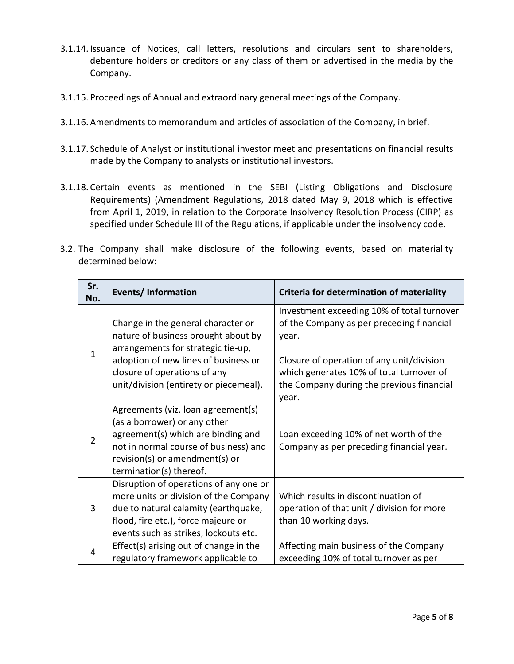- 3.1.14. Issuance of Notices, call letters, resolutions and circulars sent to shareholders, debenture holders or creditors or any class of them or advertised in the media by the Company.
- 3.1.15. Proceedings of Annual and extraordinary general meetings of the Company.
- 3.1.16. Amendments to memorandum and articles of association of the Company, in brief.
- 3.1.17. Schedule of Analyst or institutional investor meet and presentations on financial results made by the Company to analysts or institutional investors.
- 3.1.18. Certain events as mentioned in the SEBI (Listing Obligations and Disclosure Requirements) (Amendment Regulations, 2018 dated May 9, 2018 which is effective from April 1, 2019, in relation to the Corporate Insolvency Resolution Process (CIRP) as specified under Schedule III of the Regulations, if applicable under the insolvency code.
- 3.2. The Company shall make disclosure of the following events, based on materiality determined below:

| Sr.<br>No.     | <b>Events/Information</b>                                                                                                                                                                                                         | Criteria for determination of materiality                                                                                                                                                                                                       |
|----------------|-----------------------------------------------------------------------------------------------------------------------------------------------------------------------------------------------------------------------------------|-------------------------------------------------------------------------------------------------------------------------------------------------------------------------------------------------------------------------------------------------|
| 1              | Change in the general character or<br>nature of business brought about by<br>arrangements for strategic tie-up,<br>adoption of new lines of business or<br>closure of operations of any<br>unit/division (entirety or piecemeal). | Investment exceeding 10% of total turnover<br>of the Company as per preceding financial<br>year.<br>Closure of operation of any unit/division<br>which generates 10% of total turnover of<br>the Company during the previous financial<br>year. |
| $\overline{2}$ | Agreements (viz. loan agreement(s)<br>(as a borrower) or any other<br>agreement(s) which are binding and<br>not in normal course of business) and<br>revision(s) or amendment(s) or<br>termination(s) thereof.                    | Loan exceeding 10% of net worth of the<br>Company as per preceding financial year.                                                                                                                                                              |
| 3              | Disruption of operations of any one or<br>more units or division of the Company<br>due to natural calamity (earthquake,<br>flood, fire etc.), force majeure or<br>events such as strikes, lockouts etc.                           | Which results in discontinuation of<br>operation of that unit / division for more<br>than 10 working days.                                                                                                                                      |
| 4              | Effect(s) arising out of change in the<br>regulatory framework applicable to                                                                                                                                                      | Affecting main business of the Company<br>exceeding 10% of total turnover as per                                                                                                                                                                |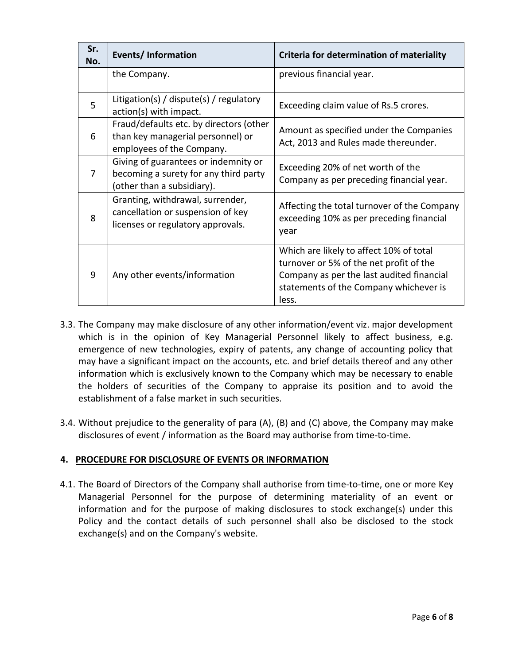| Sr.<br>No.            | <b>Events/Information</b>                                                                                   | Criteria for determination of materiality                                                                                                                                          |
|-----------------------|-------------------------------------------------------------------------------------------------------------|------------------------------------------------------------------------------------------------------------------------------------------------------------------------------------|
|                       | the Company.                                                                                                | previous financial year.                                                                                                                                                           |
| 5                     | Litigation(s) / dispute(s) / regulatory<br>action(s) with impact.                                           | Exceeding claim value of Rs.5 crores.                                                                                                                                              |
| 6                     | Fraud/defaults etc. by directors (other<br>than key managerial personnel) or<br>employees of the Company.   | Amount as specified under the Companies<br>Act, 2013 and Rules made thereunder.                                                                                                    |
| 7                     | Giving of guarantees or indemnity or<br>becoming a surety for any third party<br>(other than a subsidiary). | Exceeding 20% of net worth of the<br>Company as per preceding financial year.                                                                                                      |
| $\mathsf{\mathsf{R}}$ | Granting, withdrawal, surrender,<br>cancellation or suspension of key<br>licenses or regulatory approvals.  | Affecting the total turnover of the Company<br>exceeding 10% as per preceding financial<br>year                                                                                    |
| 9                     | Any other events/information                                                                                | Which are likely to affect 10% of total<br>turnover or 5% of the net profit of the<br>Company as per the last audited financial<br>statements of the Company whichever is<br>less. |

- 3.3. The Company may make disclosure of any other information/event viz. major development which is in the opinion of Key Managerial Personnel likely to affect business, e.g. emergence of new technologies, expiry of patents, any change of accounting policy that may have a significant impact on the accounts, etc. and brief details thereof and any other information which is exclusively known to the Company which may be necessary to enable the holders of securities of the Company to appraise its position and to avoid the establishment of a false market in such securities.
- 3.4. Without prejudice to the generality of para (A), (B) and (C) above, the Company may make disclosures of event / information as the Board may authorise from time-to-time.

# **4. PROCEDURE FOR DISCLOSURE OF EVENTS OR INFORMATION**

4.1. The Board of Directors of the Company shall authorise from time-to-time, one or more Key Managerial Personnel for the purpose of determining materiality of an event or information and for the purpose of making disclosures to stock exchange(s) under this Policy and the contact details of such personnel shall also be disclosed to the stock exchange(s) and on the Company's website.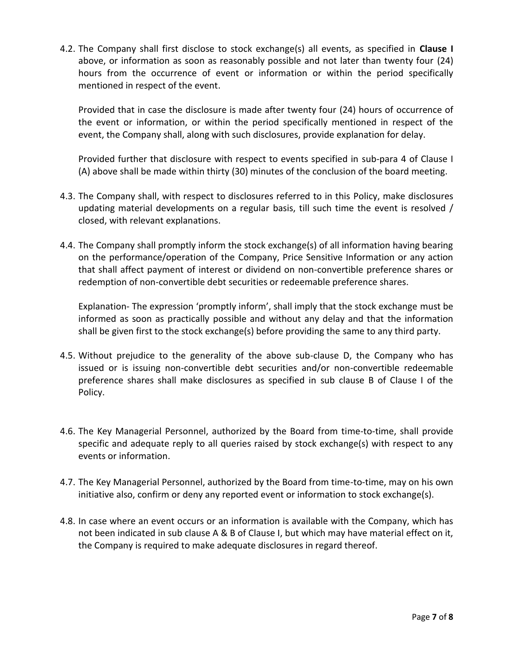4.2. The Company shall first disclose to stock exchange(s) all events, as specified in **Clause I** above, or information as soon as reasonably possible and not later than twenty four (24) hours from the occurrence of event or information or within the period specifically mentioned in respect of the event.

Provided that in case the disclosure is made after twenty four (24) hours of occurrence of the event or information, or within the period specifically mentioned in respect of the event, the Company shall, along with such disclosures, provide explanation for delay.

Provided further that disclosure with respect to events specified in sub-para 4 of Clause I (A) above shall be made within thirty (30) minutes of the conclusion of the board meeting.

- 4.3. The Company shall, with respect to disclosures referred to in this Policy, make disclosures updating material developments on a regular basis, till such time the event is resolved / closed, with relevant explanations.
- 4.4. The Company shall promptly inform the stock exchange(s) of all information having bearing on the performance/operation of the Company, Price Sensitive Information or any action that shall affect payment of interest or dividend on non-convertible preference shares or redemption of non-convertible debt securities or redeemable preference shares.

Explanation- The expression 'promptly inform', shall imply that the stock exchange must be informed as soon as practically possible and without any delay and that the information shall be given first to the stock exchange(s) before providing the same to any third party.

- 4.5. Without prejudice to the generality of the above sub-clause D, the Company who has issued or is issuing non-convertible debt securities and/or non-convertible redeemable preference shares shall make disclosures as specified in sub clause B of Clause I of the Policy.
- 4.6. The Key Managerial Personnel, authorized by the Board from time-to-time, shall provide specific and adequate reply to all queries raised by stock exchange(s) with respect to any events or information.
- 4.7. The Key Managerial Personnel, authorized by the Board from time-to-time, may on his own initiative also, confirm or deny any reported event or information to stock exchange(s).
- 4.8. In case where an event occurs or an information is available with the Company, which has not been indicated in sub clause A & B of Clause I, but which may have material effect on it, the Company is required to make adequate disclosures in regard thereof.